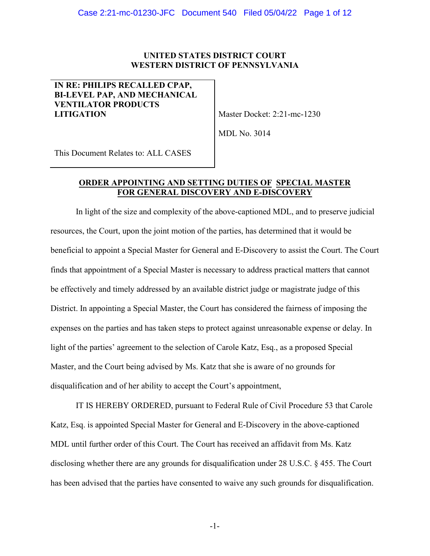# **UNITED STATES DISTRICT COURT WESTERN DISTRICT OF PENNSYLVANIA**

# **IN RE: PHILIPS RECALLED CPAP, BI-LEVEL PAP, AND MECHANICAL VENTILATOR PRODUCTS LITIGATION** Master Docket: 2:21-mc-1230

MDL No. 3014

This Document Relates to: ALL CASES

# **ORDER APPOINTING AND SETTING DUTIES OF SPECIAL MASTER FOR GENERAL DISCOVERY AND E-DISCOVERY**

In light of the size and complexity of the above-captioned MDL, and to preserve judicial resources, the Court, upon the joint motion of the parties, has determined that it would be beneficial to appoint a Special Master for General and E-Discovery to assist the Court. The Court finds that appointment of a Special Master is necessary to address practical matters that cannot be effectively and timely addressed by an available district judge or magistrate judge of this District. In appointing a Special Master, the Court has considered the fairness of imposing the expenses on the parties and has taken steps to protect against unreasonable expense or delay. In light of the parties' agreement to the selection of Carole Katz, Esq., as a proposed Special Master, and the Court being advised by Ms. Katz that she is aware of no grounds for disqualification and of her ability to accept the Court's appointment,

IT IS HEREBY ORDERED, pursuant to Federal Rule of Civil Procedure 53 that Carole Katz, Esq. is appointed Special Master for General and E-Discovery in the above-captioned MDL until further order of this Court. The Court has received an affidavit from Ms. Katz disclosing whether there are any grounds for disqualification under 28 U.S.C. § 455. The Court has been advised that the parties have consented to waive any such grounds for disqualification.

-1-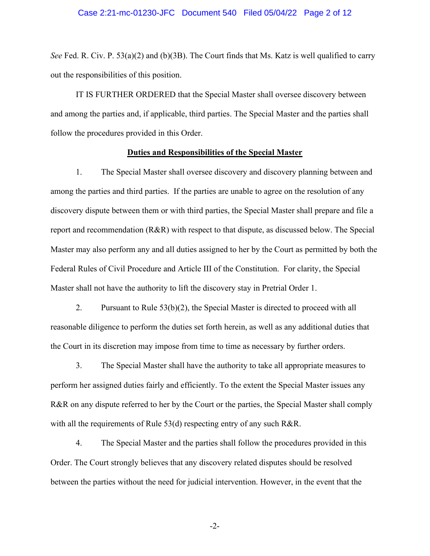### Case 2:21-mc-01230-JFC Document 540 Filed 05/04/22 Page 2 of 12

*See* Fed. R. Civ. P. 53(a)(2) and (b)(3B). The Court finds that Ms. Katz is well qualified to carry out the responsibilities of this position.

IT IS FURTHER ORDERED that the Special Master shall oversee discovery between and among the parties and, if applicable, third parties. The Special Master and the parties shall follow the procedures provided in this Order.

### **Duties and Responsibilities of the Special Master**

1. The Special Master shall oversee discovery and discovery planning between and among the parties and third parties. If the parties are unable to agree on the resolution of any discovery dispute between them or with third parties, the Special Master shall prepare and file a report and recommendation (R&R) with respect to that dispute, as discussed below. The Special Master may also perform any and all duties assigned to her by the Court as permitted by both the Federal Rules of Civil Procedure and Article III of the Constitution. For clarity, the Special Master shall not have the authority to lift the discovery stay in Pretrial Order 1.

2. Pursuant to Rule 53(b)(2), the Special Master is directed to proceed with all reasonable diligence to perform the duties set forth herein, as well as any additional duties that the Court in its discretion may impose from time to time as necessary by further orders.

3. The Special Master shall have the authority to take all appropriate measures to perform her assigned duties fairly and efficiently. To the extent the Special Master issues any R&R on any dispute referred to her by the Court or the parties, the Special Master shall comply with all the requirements of Rule 53(d) respecting entry of any such R&R.

4. The Special Master and the parties shall follow the procedures provided in this Order. The Court strongly believes that any discovery related disputes should be resolved between the parties without the need for judicial intervention. However, in the event that the

-2-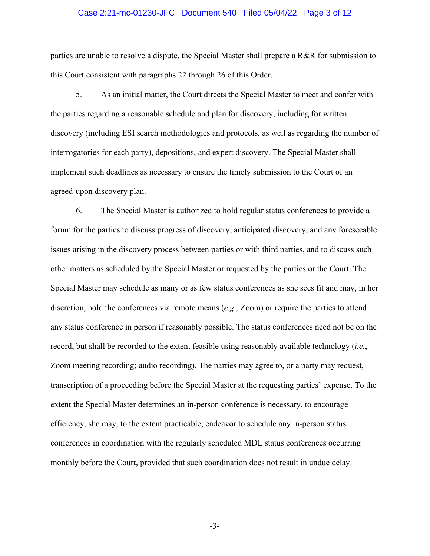### Case 2:21-mc-01230-JFC Document 540 Filed 05/04/22 Page 3 of 12

parties are unable to resolve a dispute, the Special Master shall prepare a R&R for submission to this Court consistent with paragraphs 22 through 26 of this Order.

5. As an initial matter, the Court directs the Special Master to meet and confer with the parties regarding a reasonable schedule and plan for discovery, including for written discovery (including ESI search methodologies and protocols, as well as regarding the number of interrogatories for each party), depositions, and expert discovery. The Special Master shall implement such deadlines as necessary to ensure the timely submission to the Court of an agreed-upon discovery plan.

6. The Special Master is authorized to hold regular status conferences to provide a forum for the parties to discuss progress of discovery, anticipated discovery, and any foreseeable issues arising in the discovery process between parties or with third parties, and to discuss such other matters as scheduled by the Special Master or requested by the parties or the Court. The Special Master may schedule as many or as few status conferences as she sees fit and may, in her discretion, hold the conferences via remote means (*e.g*., Zoom) or require the parties to attend any status conference in person if reasonably possible. The status conferences need not be on the record, but shall be recorded to the extent feasible using reasonably available technology (*i.e.*, Zoom meeting recording; audio recording). The parties may agree to, or a party may request, transcription of a proceeding before the Special Master at the requesting parties' expense. To the extent the Special Master determines an in-person conference is necessary, to encourage efficiency, she may, to the extent practicable, endeavor to schedule any in-person status conferences in coordination with the regularly scheduled MDL status conferences occurring monthly before the Court, provided that such coordination does not result in undue delay.

-3-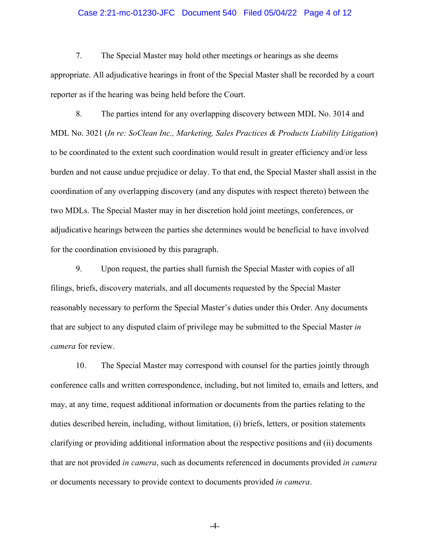### Case 2:21-mc-01230-JFC Document 540 Filed 05/04/22 Page 4 of 12

7. The Special Master may hold other meetings or hearings as she deems appropriate. All adjudicative hearings in front of the Special Master shall be recorded by a court reporter as if the hearing was being held before the Court.

8. The parties intend for any overlapping discovery between MDL No. 3014 and MDL No. 3021 (*In re: SoClean Inc., Marketing, Sales Practices & Products Liability Litigation*) to be coordinated to the extent such coordination would result in greater efficiency and/or less burden and not cause undue prejudice or delay. To that end, the Special Master shall assist in the coordination of any overlapping discovery (and any disputes with respect thereto) between the two MDLs. The Special Master may in her discretion hold joint meetings, conferences, or adjudicative hearings between the parties she determines would be beneficial to have involved for the coordination envisioned by this paragraph.

9. Upon request, the parties shall furnish the Special Master with copies of all filings, briefs, discovery materials, and all documents requested by the Special Master reasonably necessary to perform the Special Master's duties under this Order. Any documents that are subject to any disputed claim of privilege may be submitted to the Special Master *in camera* for review.

10. The Special Master may correspond with counsel for the parties jointly through conference calls and written correspondence, including, but not limited to, emails and letters, and may, at any time, request additional information or documents from the parties relating to the duties described herein, including, without limitation, (i) briefs, letters, or position statements clarifying or providing additional information about the respective positions and (ii) documents that are not provided *in camera*, such as documents referenced in documents provided *in camera* or documents necessary to provide context to documents provided *in camera*.

-4-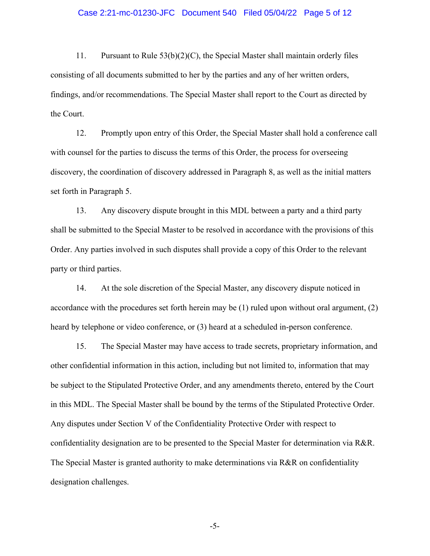### Case 2:21-mc-01230-JFC Document 540 Filed 05/04/22 Page 5 of 12

11. Pursuant to Rule 53(b)(2)(C), the Special Master shall maintain orderly files consisting of all documents submitted to her by the parties and any of her written orders, findings, and/or recommendations. The Special Master shall report to the Court as directed by the Court.

12. Promptly upon entry of this Order, the Special Master shall hold a conference call with counsel for the parties to discuss the terms of this Order, the process for overseeing discovery, the coordination of discovery addressed in Paragraph 8, as well as the initial matters set forth in Paragraph 5.

13. Any discovery dispute brought in this MDL between a party and a third party shall be submitted to the Special Master to be resolved in accordance with the provisions of this Order. Any parties involved in such disputes shall provide a copy of this Order to the relevant party or third parties.

14. At the sole discretion of the Special Master, any discovery dispute noticed in accordance with the procedures set forth herein may be (1) ruled upon without oral argument, (2) heard by telephone or video conference, or (3) heard at a scheduled in-person conference.

15. The Special Master may have access to trade secrets, proprietary information, and other confidential information in this action, including but not limited to, information that may be subject to the Stipulated Protective Order, and any amendments thereto, entered by the Court in this MDL. The Special Master shall be bound by the terms of the Stipulated Protective Order. Any disputes under Section V of the Confidentiality Protective Order with respect to confidentiality designation are to be presented to the Special Master for determination via R&R. The Special Master is granted authority to make determinations via R&R on confidentiality designation challenges.

-5-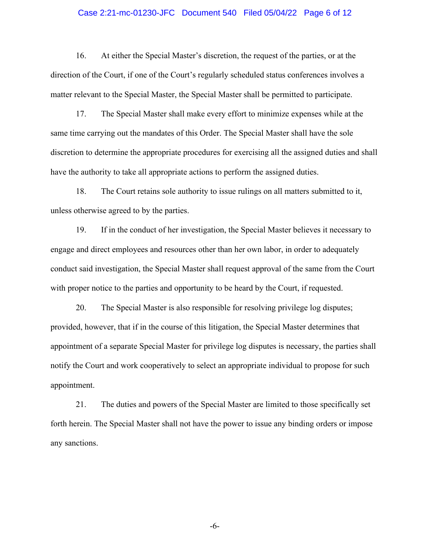### Case 2:21-mc-01230-JFC Document 540 Filed 05/04/22 Page 6 of 12

16. At either the Special Master's discretion, the request of the parties, or at the direction of the Court, if one of the Court's regularly scheduled status conferences involves a matter relevant to the Special Master, the Special Master shall be permitted to participate.

17. The Special Master shall make every effort to minimize expenses while at the same time carrying out the mandates of this Order. The Special Master shall have the sole discretion to determine the appropriate procedures for exercising all the assigned duties and shall have the authority to take all appropriate actions to perform the assigned duties.

18. The Court retains sole authority to issue rulings on all matters submitted to it, unless otherwise agreed to by the parties.

19. If in the conduct of her investigation, the Special Master believes it necessary to engage and direct employees and resources other than her own labor, in order to adequately conduct said investigation, the Special Master shall request approval of the same from the Court with proper notice to the parties and opportunity to be heard by the Court, if requested.

20. The Special Master is also responsible for resolving privilege log disputes; provided, however, that if in the course of this litigation, the Special Master determines that appointment of a separate Special Master for privilege log disputes is necessary, the parties shall notify the Court and work cooperatively to select an appropriate individual to propose for such appointment.

21. The duties and powers of the Special Master are limited to those specifically set forth herein. The Special Master shall not have the power to issue any binding orders or impose any sanctions.

-6-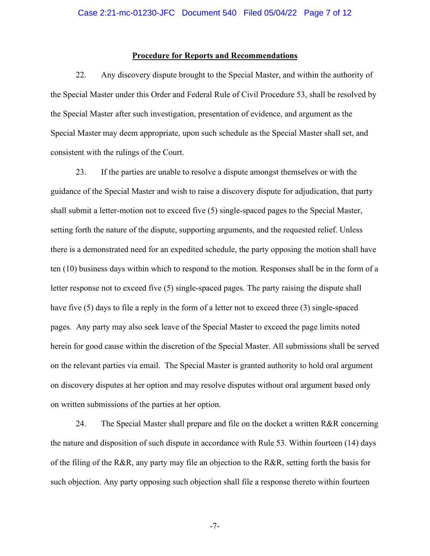#### **Procedure for Reports and Recommendations**

22. Any discovery dispute brought to the Special Master, and within the authority of the Special Master under this Order and Federal Rule of Civil Procedure 53, shall be resolved by the Special Master after such investigation, presentation of evidence, and argument as the Special Master may deem appropriate, upon such schedule as the Special Master shall set, and consistent with the rulings of the Court.

23. If the parties are unable to resolve a dispute amongst themselves or with the guidance of the Special Master and wish to raise a discovery dispute for adjudication, that party shall submit a letter-motion not to exceed five (5) single-spaced pages to the Special Master, setting forth the nature of the dispute, supporting arguments, and the requested relief. Unless there is a demonstrated need for an expedited schedule, the party opposing the motion shall have ten (10) business days within which to respond to the motion. Responses shall be in the form of a letter response not to exceed five (5) single-spaced pages. The party raising the dispute shall have five (5) days to file a reply in the form of a letter not to exceed three (3) single-spaced pages.Any party may also seek leave of the Special Master to exceed the page limits noted herein for good cause within the discretion of the Special Master. All submissions shall be served on the relevant parties via email. The Special Master is granted authority to hold oral argument on discovery disputes at her option and may resolve disputes without oral argument based only on written submissions of the parties at her option.

24. The Special Master shall prepare and file on the docket a written R&R concerning the nature and disposition of such dispute in accordance with Rule 53. Within fourteen (14) days of the filing of the R&R, any party may file an objection to the R&R, setting forth the basis for such objection. Any party opposing such objection shall file a response thereto within fourteen

-7-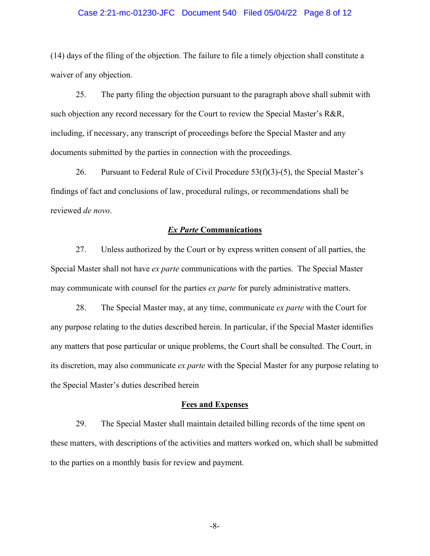### Case 2:21-mc-01230-JFC Document 540 Filed 05/04/22 Page 8 of 12

(14) days of the filing of the objection. The failure to file a timely objection shall constitute a waiver of any objection.

25. The party filing the objection pursuant to the paragraph above shall submit with such objection any record necessary for the Court to review the Special Master's R&R, including, if necessary, any transcript of proceedings before the Special Master and any documents submitted by the parties in connection with the proceedings.

26. Pursuant to Federal Rule of Civil Procedure  $53(f)(3)-(5)$ , the Special Master's findings of fact and conclusions of law, procedural rulings, or recommendations shall be reviewed *de novo*.

#### *Ex Parte* **Communications**

27. Unless authorized by the Court or by express written consent of all parties, the Special Master shall not have *ex parte* communications with the parties. The Special Master may communicate with counsel for the parties *ex parte* for purely administrative matters.

28. The Special Master may, at any time, communicate *ex parte* with the Court for any purpose relating to the duties described herein. In particular, if the Special Master identifies any matters that pose particular or unique problems, the Court shall be consulted. The Court, in its discretion, may also communicate *ex parte* with the Special Master for any purpose relating to the Special Master's duties described herein

#### **Fees and Expenses**

29. The Special Master shall maintain detailed billing records of the time spent on these matters, with descriptions of the activities and matters worked on, which shall be submitted to the parties on a monthly basis for review and payment.

-8-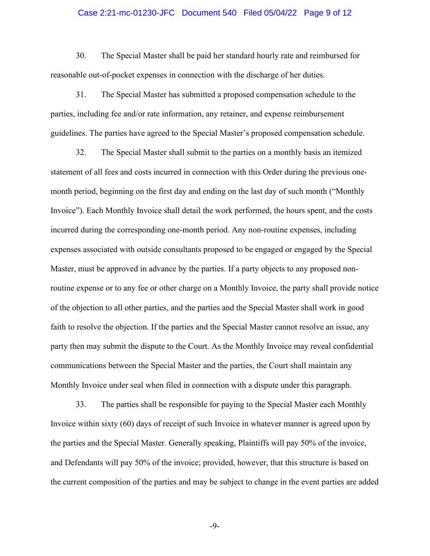### Case 2:21-mc-01230-JFC Document 540 Filed 05/04/22 Page 9 of 12

30. The Special Master shall be paid her standard hourly rate and reimbursed for reasonable out-of-pocket expenses in connection with the discharge of her duties.

31. The Special Master has submitted a proposed compensation schedule to the parties, including fee and/or rate information, any retainer, and expense reimbursement guidelines. The parties have agreed to the Special Master's proposed compensation schedule.

32. The Special Master shall submit to the parties on a monthly basis an itemized statement of all fees and costs incurred in connection with this Order during the previous onemonth period, beginning on the first day and ending on the last day of such month ("Monthly Invoice"). Each Monthly Invoice shall detail the work performed, the hours spent, and the costs incurred during the corresponding one-month period. Any non-routine expenses, including expenses associated with outside consultants proposed to be engaged or engaged by the Special Master, must be approved in advance by the parties. If a party objects to any proposed nonroutine expense or to any fee or other charge on a Monthly Invoice, the party shall provide notice of the objection to all other parties, and the parties and the Special Master shall work in good faith to resolve the objection. If the parties and the Special Master cannot resolve an issue, any party then may submit the dispute to the Court. As the Monthly Invoice may reveal confidential communications between the Special Master and the parties, the Court shall maintain any Monthly Invoice under seal when filed in connection with a dispute under this paragraph.

33. The parties shall be responsible for paying to the Special Master each Monthly Invoice within sixty (60) days of receipt of such Invoice in whatever manner is agreed upon by the parties and the Special Master. Generally speaking, Plaintiffs will pay 50% of the invoice, and Defendants will pay 50% of the invoice; provided, however, that this structure is based on the current composition of the parties and may be subject to change in the event parties are added

-9-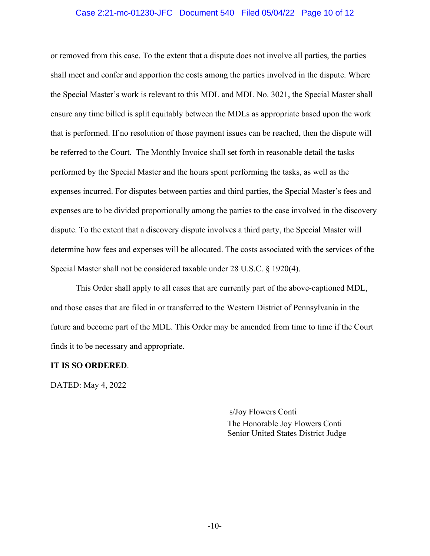# Case 2:21-mc-01230-JFC Document 540 Filed 05/04/22 Page 10 of 12

or removed from this case. To the extent that a dispute does not involve all parties, the parties shall meet and confer and apportion the costs among the parties involved in the dispute. Where the Special Master's work is relevant to this MDL and MDL No. 3021, the Special Master shall ensure any time billed is split equitably between the MDLs as appropriate based upon the work that is performed. If no resolution of those payment issues can be reached, then the dispute will be referred to the Court. The Monthly Invoice shall set forth in reasonable detail the tasks performed by the Special Master and the hours spent performing the tasks, as well as the expenses incurred. For disputes between parties and third parties, the Special Master's fees and expenses are to be divided proportionally among the parties to the case involved in the discovery dispute. To the extent that a discovery dispute involves a third party, the Special Master will determine how fees and expenses will be allocated. The costs associated with the services of the Special Master shall not be considered taxable under 28 U.S.C. § 1920(4).

This Order shall apply to all cases that are currently part of the above-captioned MDL, and those cases that are filed in or transferred to the Western District of Pennsylvania in the future and become part of the MDL. This Order may be amended from time to time if the Court finds it to be necessary and appropriate.

## **IT IS SO ORDERED**.

DATED: May 4, 2022

s/Joy Flowers Conti

The Honorable Joy Flowers Conti Senior United States District Judge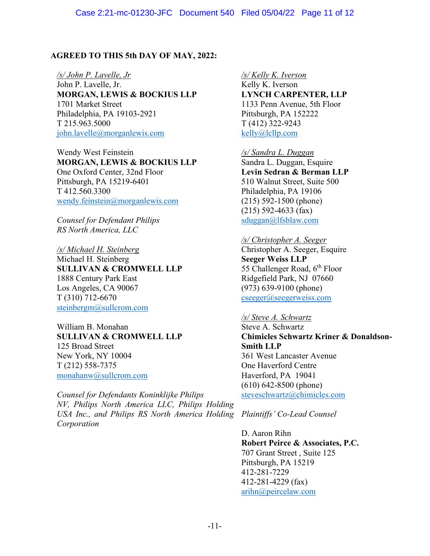# **AGREED TO THIS 5th DAY OF MAY, 2022:**

*/s/ John P. Lavelle, Jr* John P. Lavelle, Jr. **MORGAN, LEWIS & BOCKIUS LLP** 1701 Market Street Philadelphia, PA 19103-2921 T 215.963.5000 john.lavelle@morganlewis.com

Wendy West Feinstein **MORGAN, LEWIS & BOCKIUS LLP** One Oxford Center, 32nd Floor Pittsburgh, PA 15219-6401 T 412.560.3300 wendy.feinstein@morganlewis.com

*Counsel for Defendant Philips RS North America, LLC* 

*/s/ Michael H. Steinberg*  Michael H. Steinberg **SULLIVAN & CROMWELL LLP** 1888 Century Park East Los Angeles, CA 90067 T (310) 712-6670 steinbergm@sullcrom.com

William B. Monahan **SULLIVAN & CROMWELL LLP** 125 Broad Street New York, NY 10004 T (212) 558-7375 monahanw@sullcrom.com

*Counsel for Defendants Koninklijke Philips NV, Philips North America LLC, Philips Holding USA Inc., and Philips RS North America Holding Corporation*

*/s/ Kelly K. Iverson* Kelly K. Iverson **LYNCH CARPENTER, LLP** 1133 Penn Avenue, 5th Floor Pittsburgh, PA 152222 T (412) 322-9243 kelly@lcllp.com

*/s/ Sandra L. Duggan*  Sandra L. Duggan, Esquire **Levin Sedran & Berman LLP** 510 Walnut Street, Suite 500 Philadelphia, PA 19106 (215) 592-1500 (phone) (215) 592-4633 (fax) sduggan@lfsblaw.com

## */s/ Christopher A. Seeger*

Christopher A. Seeger, Esquire **Seeger Weiss LLP** 55 Challenger Road,  $6<sup>th</sup>$  Floor Ridgefield Park, NJ 07660 (973) 639-9100 (phone) cseeger@seegerweiss.com

## */s/ Steve A. Schwartz*

Steve A. Schwartz **Chimicles Schwartz Kriner & Donaldson-Smith LLP** 361 West Lancaster Avenue One Haverford Centre Haverford, PA 19041 (610) 642-8500 (phone) steveschwartz@chimicles.com

*Plaintiffs' Co-Lead Counsel*

D. Aaron Rihn **Robert Peirce & Associates, P.C.** 707 Grant Street , Suite 125 Pittsburgh, PA 15219 412-281-7229 412-281-4229 (fax) arihn@peircelaw.com